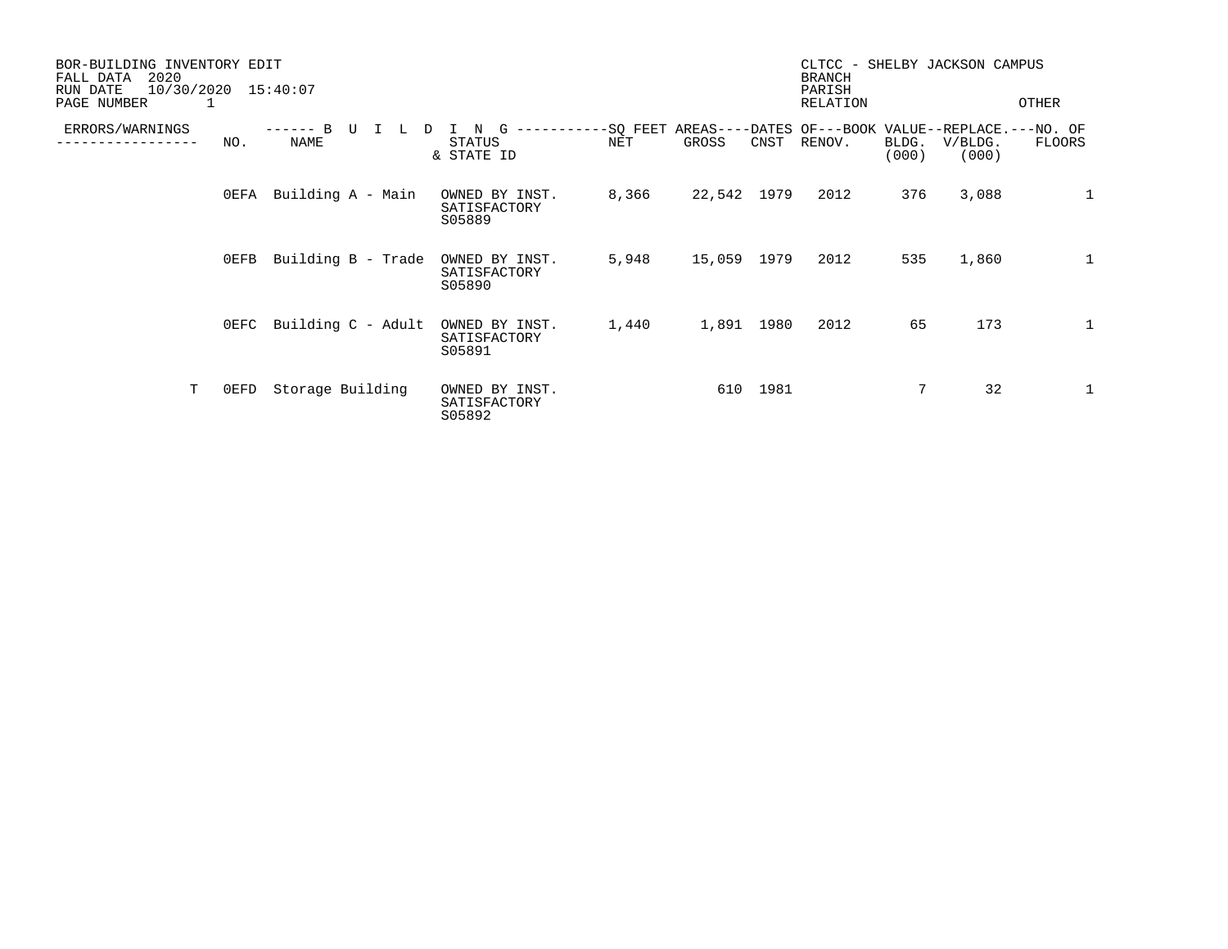| BOR-BUILDING INVENTORY EDIT<br>2020<br>FALL DATA<br>10/30/2020 15:40:07<br>RUN DATE<br>PAGE NUMBER |         |                    |                                               |                 |             |      | CLTCC - SHELBY JACKSON CAMPUS<br><b>BRANCH</b><br>PARISH<br>RELATION |                |                  | OTHER        |
|----------------------------------------------------------------------------------------------------|---------|--------------------|-----------------------------------------------|-----------------|-------------|------|----------------------------------------------------------------------|----------------|------------------|--------------|
|                                                                                                    |         |                    |                                               |                 |             |      |                                                                      |                |                  |              |
| ERRORS/WARNINGS                                                                                    | NO.     | L<br>D<br>NAME     | G<br>N<br>-----------<br>STATUS<br>& STATE ID | -SQ FEET<br>NET | GROSS       | CNST | AREAS----DATES OF---BOOK VALUE--REPLACE.---NO. OF<br>RENOV.          | BLDG.<br>(000) | V/BLDG.<br>(000) | FLOORS       |
|                                                                                                    | $0$ EFA | Building A - Main  | OWNED BY INST.<br>SATISFACTORY<br>S05889      | 8,366           | 22,542 1979 |      | 2012                                                                 | 376            | 3,088            | $\mathbf{1}$ |
|                                                                                                    | $0$ EFB | Building B - Trade | OWNED BY INST.<br>SATISFACTORY<br>S05890      | 5,948           | 15,059 1979 |      | 2012                                                                 | 535            | 1,860            | $\mathbf{1}$ |
|                                                                                                    | $0$ EFC | Building C - Adult | OWNED BY INST.<br>SATISFACTORY<br>S05891      | 1,440           | 1,891 1980  |      | 2012                                                                 | 65             | 173              | 1            |
| T                                                                                                  | 0EFD    | Storage Building   | OWNED BY INST.<br>SATISFACTORY<br>S05892      |                 | 610         | 1981 |                                                                      | 7              | 32               | 1            |